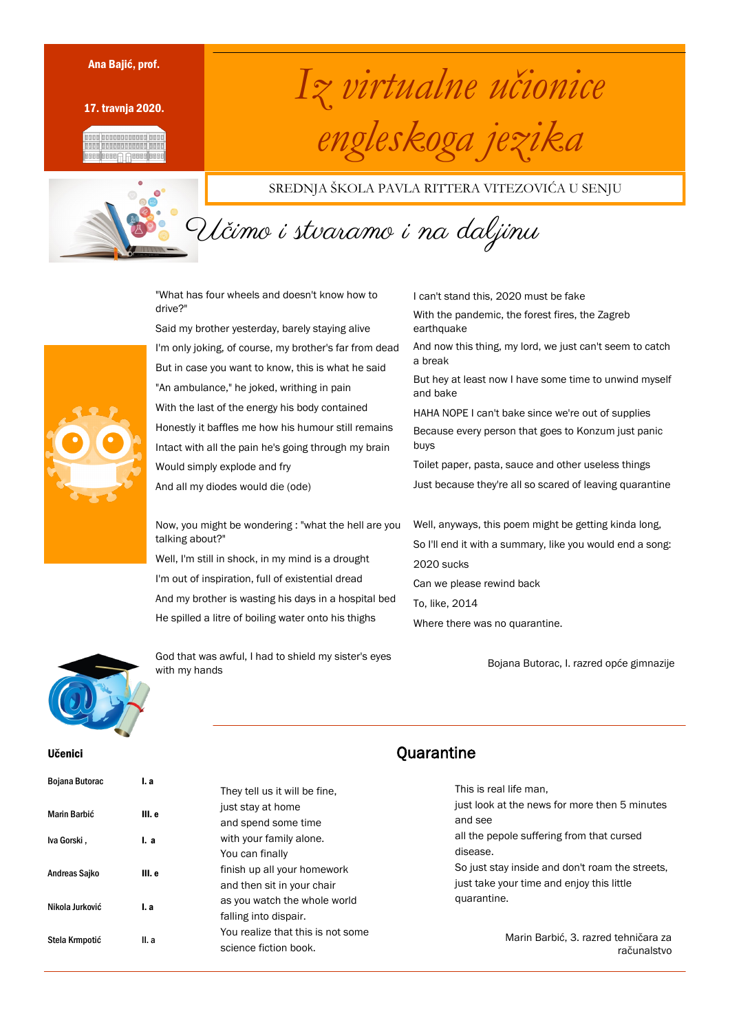17. travnja 2020.





## Ana Bajić, prof.<br>17 travnja 2020.<br>17 travnja 2020. *engleskoga jezika*

SREDNJA ŠKOLA PAVLA RITTERA VITEZOVIĆA U SENJU

Učimo i stvaramo i na daljinu

"What has four wheels and doesn't know how to drive?"

Said my brother yesterday, barely staying alive I'm only joking, of course, my brother's far from dead But in case you want to know, this is what he said "An ambulance," he joked, writhing in pain With the last of the energy his body contained Honestly it baffles me how his humour still remains Intact with all the pain he's going through my brain Would simply explode and fry And all my diodes would die (ode)

Now, you might be wondering : "what the hell are you talking about?"

Well, I'm still in shock, in my mind is a drought I'm out of inspiration, full of existential dread And my brother is wasting his days in a hospital bed He spilled a litre of boiling water onto his thighs

I can't stand this, 2020 must be fake With the pandemic, the forest fires, the Zagreb earthquake And now this thing, my lord, we just can't seem to catch a break But hey at least now I have some time to unwind myself and bake HAHA NOPE I can't bake since we're out of supplies Because every person that goes to Konzum just panic buys Toilet paper, pasta, sauce and other useless things Just because they're all so scared of leaving quarantine Well, anyways, this poem might be getting kinda long,

So I'll end it with a summary, like you would end a song: 2020 sucks Can we please rewind back To, like, 2014 Where there was no quarantine.

Bojana Butorac, I. razred opće gimnazije



God that was awful, I had to shield my sister's eyes with my hands

**Ouarantine** 

This is real life man, just look at the news for more then 5 minutes and see all the pepole suffering from that cursed disease. So just stay inside and don't roam the streets, just take your time and enjoy this little quarantine.

> Marin Barbić, 3. razred tehničara za računalstvo

Bojana Butorac **I.a** 

Učenici



#### They tell us it will be fine, just stay at home and spend some time with your family alone. You can finally finish up all your homework and then sit in your chair as you watch the whole world falling into dispair. You realize that this is not some science fiction book.